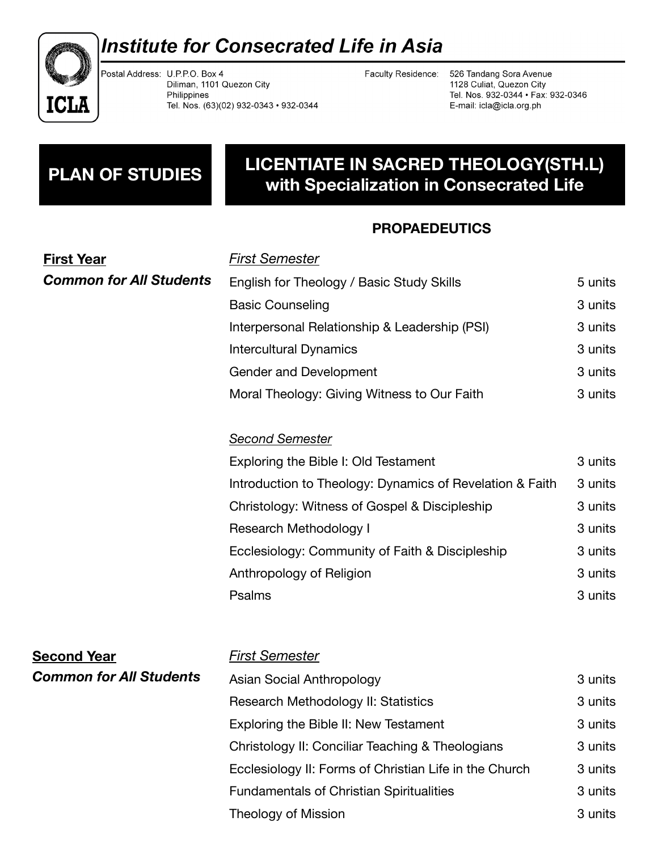

# **Institute for Consecrated Life in Asia**

Postal Address: U.P.P.O. Box 4 Diliman, 1101 Quezon City Philippines Tel. Nos. (63)(02) 932-0343 · 932-0344

Faculty Residence: 526 Tandang Sora Avenue 1128 Culiat, Quezon City Tel. Nos. 932-0344 · Fax: 932-0346 E-mail: icla@icla.org.ph

## **LICENTIATE IN SACRED THEOLOGY(STH.L) with Specialization in Consecrated Life PLAN OF STUDIES**

### **PROPAEDEUTICS**

| <b>First Year</b>              | <b>First Semester</b>                                    |         |
|--------------------------------|----------------------------------------------------------|---------|
| <b>Common for All Students</b> | English for Theology / Basic Study Skills                | 5 units |
|                                | <b>Basic Counseling</b>                                  | 3 units |
|                                | Interpersonal Relationship & Leadership (PSI)            | 3 units |
|                                | <b>Intercultural Dynamics</b>                            | 3 units |
|                                | <b>Gender and Development</b>                            | 3 units |
|                                | Moral Theology: Giving Witness to Our Faith              | 3 units |
|                                | <b>Second Semester</b>                                   |         |
|                                | Exploring the Bible I: Old Testament                     | 3 units |
|                                | Introduction to Theology: Dynamics of Revelation & Faith | 3 units |
|                                | Christology: Witness of Gospel & Discipleship            | 3 units |
|                                | <b>Research Methodology I</b>                            | 3 units |
|                                | Ecclesiology: Community of Faith & Discipleship          | 3 units |
|                                | Anthropology of Religion                                 | 3 units |
|                                | Psalms                                                   | 3 units |
| <b>Second Year</b>             | <b>First Semester</b>                                    |         |
| <b>Common for All Students</b> | Asian Social Anthropology                                | 3 units |
|                                | Research Methodology II: Statistics                      | 3 units |
|                                | Exploring the Bible II: New Testament                    | 3 units |
|                                | Christology II: Conciliar Teaching & Theologians         | 3 units |
|                                | Ecclesiology II: Forms of Christian Life in the Church   | 3 units |
|                                | <b>Fundamentals of Christian Spiritualities</b>          | 3 units |
|                                | <b>Theology of Mission</b>                               | 3 units |